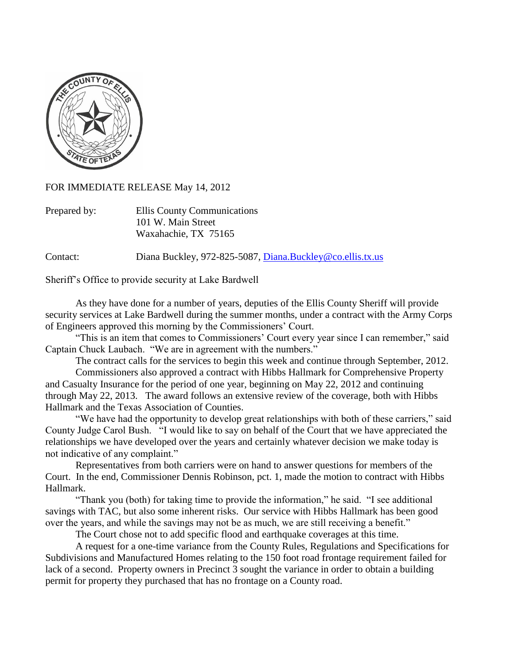

FOR IMMEDIATE RELEASE May 14, 2012

| Prepared by: | Ellis County Communications |
|--------------|-----------------------------|
|              | 101 W. Main Street          |
|              | Waxahachie, TX 75165        |

Contact: Diana Buckley, 972-825-5087, [Diana.Buckley@co.ellis.tx.us](mailto:Diana.Buckley@co.ellis.tx.us)

Sheriff's Office to provide security at Lake Bardwell

As they have done for a number of years, deputies of the Ellis County Sheriff will provide security services at Lake Bardwell during the summer months, under a contract with the Army Corps of Engineers approved this morning by the Commissioners' Court.

"This is an item that comes to Commissioners' Court every year since I can remember," said Captain Chuck Laubach. "We are in agreement with the numbers."

The contract calls for the services to begin this week and continue through September, 2012.

Commissioners also approved a contract with Hibbs Hallmark for Comprehensive Property and Casualty Insurance for the period of one year, beginning on May 22, 2012 and continuing through May 22, 2013. The award follows an extensive review of the coverage, both with Hibbs Hallmark and the Texas Association of Counties.

"We have had the opportunity to develop great relationships with both of these carriers," said County Judge Carol Bush. "I would like to say on behalf of the Court that we have appreciated the relationships we have developed over the years and certainly whatever decision we make today is not indicative of any complaint."

Representatives from both carriers were on hand to answer questions for members of the Court. In the end, Commissioner Dennis Robinson, pct. 1, made the motion to contract with Hibbs Hallmark.

"Thank you (both) for taking time to provide the information," he said. "I see additional savings with TAC, but also some inherent risks. Our service with Hibbs Hallmark has been good over the years, and while the savings may not be as much, we are still receiving a benefit."

The Court chose not to add specific flood and earthquake coverages at this time.

A request for a one-time variance from the County Rules, Regulations and Specifications for Subdivisions and Manufactured Homes relating to the 150 foot road frontage requirement failed for lack of a second. Property owners in Precinct 3 sought the variance in order to obtain a building permit for property they purchased that has no frontage on a County road.